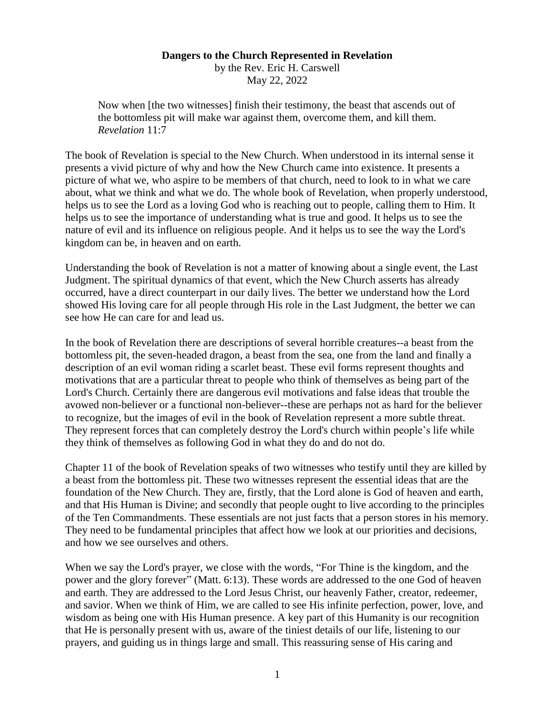## **Dangers to the Church Represented in Revelation**

by the Rev. Eric H. Carswell May 22, 2022

Now when [the two witnesses] finish their testimony, the beast that ascends out of the bottomless pit will make war against them, overcome them, and kill them. *Revelation* 11:7

The book of Revelation is special to the New Church. When understood in its internal sense it presents a vivid picture of why and how the New Church came into existence. It presents a picture of what we, who aspire to be members of that church, need to look to in what we care about, what we think and what we do. The whole book of Revelation, when properly understood, helps us to see the Lord as a loving God who is reaching out to people, calling them to Him. It helps us to see the importance of understanding what is true and good. It helps us to see the nature of evil and its influence on religious people. And it helps us to see the way the Lord's kingdom can be, in heaven and on earth.

Understanding the book of Revelation is not a matter of knowing about a single event, the Last Judgment. The spiritual dynamics of that event, which the New Church asserts has already occurred, have a direct counterpart in our daily lives. The better we understand how the Lord showed His loving care for all people through His role in the Last Judgment, the better we can see how He can care for and lead us.

In the book of Revelation there are descriptions of several horrible creatures--a beast from the bottomless pit, the seven-headed dragon, a beast from the sea, one from the land and finally a description of an evil woman riding a scarlet beast. These evil forms represent thoughts and motivations that are a particular threat to people who think of themselves as being part of the Lord's Church. Certainly there are dangerous evil motivations and false ideas that trouble the avowed non-believer or a functional non-believer--these are perhaps not as hard for the believer to recognize, but the images of evil in the book of Revelation represent a more subtle threat. They represent forces that can completely destroy the Lord's church within people's life while they think of themselves as following God in what they do and do not do.

Chapter 11 of the book of Revelation speaks of two witnesses who testify until they are killed by a beast from the bottomless pit. These two witnesses represent the essential ideas that are the foundation of the New Church. They are, firstly, that the Lord alone is God of heaven and earth, and that His Human is Divine; and secondly that people ought to live according to the principles of the Ten Commandments. These essentials are not just facts that a person stores in his memory. They need to be fundamental principles that affect how we look at our priorities and decisions, and how we see ourselves and others.

When we say the Lord's prayer, we close with the words, "For Thine is the kingdom, and the power and the glory forever" (Matt. 6:13). These words are addressed to the one God of heaven and earth. They are addressed to the Lord Jesus Christ, our heavenly Father, creator, redeemer, and savior. When we think of Him, we are called to see His infinite perfection, power, love, and wisdom as being one with His Human presence. A key part of this Humanity is our recognition that He is personally present with us, aware of the tiniest details of our life, listening to our prayers, and guiding us in things large and small. This reassuring sense of His caring and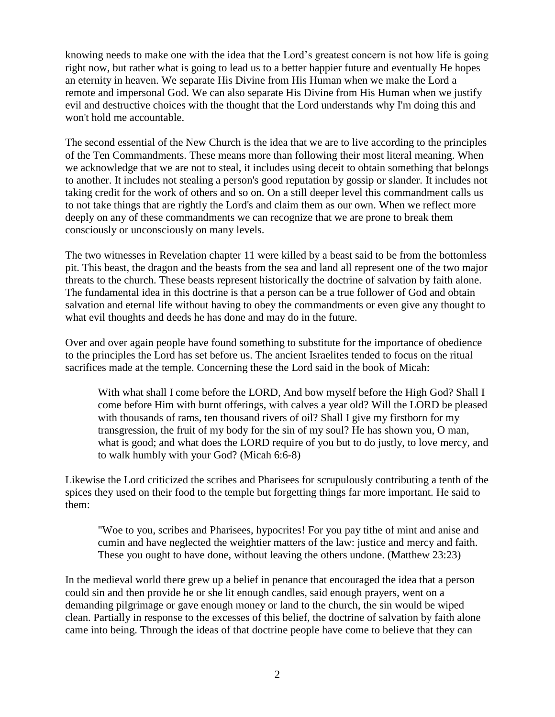knowing needs to make one with the idea that the Lord's greatest concern is not how life is going right now, but rather what is going to lead us to a better happier future and eventually He hopes an eternity in heaven. We separate His Divine from His Human when we make the Lord a remote and impersonal God. We can also separate His Divine from His Human when we justify evil and destructive choices with the thought that the Lord understands why I'm doing this and won't hold me accountable.

The second essential of the New Church is the idea that we are to live according to the principles of the Ten Commandments. These means more than following their most literal meaning. When we acknowledge that we are not to steal, it includes using deceit to obtain something that belongs to another. It includes not stealing a person's good reputation by gossip or slander. It includes not taking credit for the work of others and so on. On a still deeper level this commandment calls us to not take things that are rightly the Lord's and claim them as our own. When we reflect more deeply on any of these commandments we can recognize that we are prone to break them consciously or unconsciously on many levels.

The two witnesses in Revelation chapter 11 were killed by a beast said to be from the bottomless pit. This beast, the dragon and the beasts from the sea and land all represent one of the two major threats to the church. These beasts represent historically the doctrine of salvation by faith alone. The fundamental idea in this doctrine is that a person can be a true follower of God and obtain salvation and eternal life without having to obey the commandments or even give any thought to what evil thoughts and deeds he has done and may do in the future.

Over and over again people have found something to substitute for the importance of obedience to the principles the Lord has set before us. The ancient Israelites tended to focus on the ritual sacrifices made at the temple. Concerning these the Lord said in the book of Micah:

With what shall I come before the LORD, And bow myself before the High God? Shall I come before Him with burnt offerings, with calves a year old? Will the LORD be pleased with thousands of rams, ten thousand rivers of oil? Shall I give my firstborn for my transgression, the fruit of my body for the sin of my soul? He has shown you, O man, what is good; and what does the LORD require of you but to do justly, to love mercy, and to walk humbly with your God? (Micah 6:6-8)

Likewise the Lord criticized the scribes and Pharisees for scrupulously contributing a tenth of the spices they used on their food to the temple but forgetting things far more important. He said to them:

"Woe to you, scribes and Pharisees, hypocrites! For you pay tithe of mint and anise and cumin and have neglected the weightier matters of the law: justice and mercy and faith. These you ought to have done, without leaving the others undone. (Matthew 23:23)

In the medieval world there grew up a belief in penance that encouraged the idea that a person could sin and then provide he or she lit enough candles, said enough prayers, went on a demanding pilgrimage or gave enough money or land to the church, the sin would be wiped clean. Partially in response to the excesses of this belief, the doctrine of salvation by faith alone came into being. Through the ideas of that doctrine people have come to believe that they can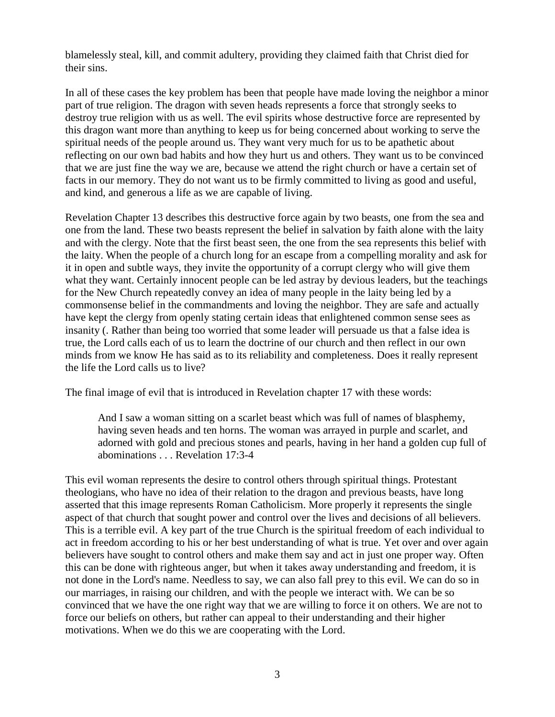blamelessly steal, kill, and commit adultery, providing they claimed faith that Christ died for their sins.

In all of these cases the key problem has been that people have made loving the neighbor a minor part of true religion. The dragon with seven heads represents a force that strongly seeks to destroy true religion with us as well. The evil spirits whose destructive force are represented by this dragon want more than anything to keep us for being concerned about working to serve the spiritual needs of the people around us. They want very much for us to be apathetic about reflecting on our own bad habits and how they hurt us and others. They want us to be convinced that we are just fine the way we are, because we attend the right church or have a certain set of facts in our memory. They do not want us to be firmly committed to living as good and useful, and kind, and generous a life as we are capable of living.

Revelation Chapter 13 describes this destructive force again by two beasts, one from the sea and one from the land. These two beasts represent the belief in salvation by faith alone with the laity and with the clergy. Note that the first beast seen, the one from the sea represents this belief with the laity. When the people of a church long for an escape from a compelling morality and ask for it in open and subtle ways, they invite the opportunity of a corrupt clergy who will give them what they want. Certainly innocent people can be led astray by devious leaders, but the teachings for the New Church repeatedly convey an idea of many people in the laity being led by a commonsense belief in the commandments and loving the neighbor. They are safe and actually have kept the clergy from openly stating certain ideas that enlightened common sense sees as insanity (. Rather than being too worried that some leader will persuade us that a false idea is true, the Lord calls each of us to learn the doctrine of our church and then reflect in our own minds from we know He has said as to its reliability and completeness. Does it really represent the life the Lord calls us to live?

The final image of evil that is introduced in Revelation chapter 17 with these words:

And I saw a woman sitting on a scarlet beast which was full of names of blasphemy, having seven heads and ten horns. The woman was arrayed in purple and scarlet, and adorned with gold and precious stones and pearls, having in her hand a golden cup full of abominations . . . Revelation 17:3-4

This evil woman represents the desire to control others through spiritual things. Protestant theologians, who have no idea of their relation to the dragon and previous beasts, have long asserted that this image represents Roman Catholicism. More properly it represents the single aspect of that church that sought power and control over the lives and decisions of all believers. This is a terrible evil. A key part of the true Church is the spiritual freedom of each individual to act in freedom according to his or her best understanding of what is true. Yet over and over again believers have sought to control others and make them say and act in just one proper way. Often this can be done with righteous anger, but when it takes away understanding and freedom, it is not done in the Lord's name. Needless to say, we can also fall prey to this evil. We can do so in our marriages, in raising our children, and with the people we interact with. We can be so convinced that we have the one right way that we are willing to force it on others. We are not to force our beliefs on others, but rather can appeal to their understanding and their higher motivations. When we do this we are cooperating with the Lord.